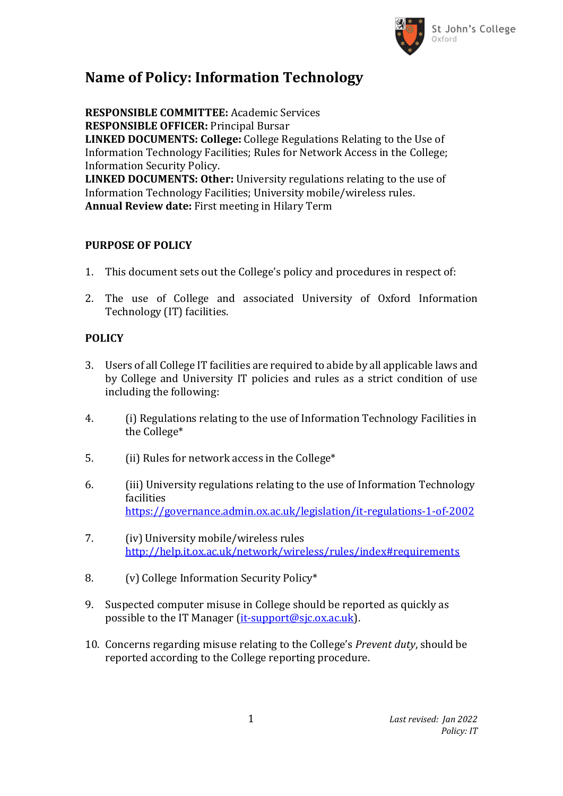

## **Name of Policy: Information Technology**

**RESPONSIBLE COMMITTEE:** Academic Services **RESPONSIBLE OFFICER:** Principal Bursar **LINKED DOCUMENTS: College:** College Regulations Relating to the Use of Information Technology Facilities; Rules for Network Access in the College; Information Security Policy. **LINKED DOCUMENTS: Other:** University regulations relating to the use of Information Technology Facilities; University mobile/wireless rules. **Annual Review date:** First meeting in Hilary Term

## **PURPOSE OF POLICY**

- 1. This document sets out the College's policy and procedures in respect of:
- 2. The use of College and associated University of Oxford Information Technology (IT) facilities.

## **POLICY**

- 3. Users of all College IT facilities are required to abide by all applicable laws and by College and University IT policies and rules as a strict condition of use including the following:
- 4. (i) Regulations relating to the use of Information Technology Facilities in the College\*
- 5. (ii) Rules for network access in the College\*
- 6. (iii) University regulations relating to the use of Information Technology facilities <https://governance.admin.ox.ac.uk/legislation/it-regulations-1-of-2002>
- 7. (iv) University mobile/wireless rules <http://help.it.ox.ac.uk/network/wireless/rules/index#requirements>
- 8. (v) College Information Security Policy\*
- 9. Suspected computer misuse in College should be reported as quickly as possible to the IT Manager [\(it-support@sjc.ox.ac.uk\)](mailto:it-support@sjc.ox.ac.uk).
- 10. Concerns regarding misuse relating to the College's *Prevent duty*, should be reported according to the College reporting procedure.